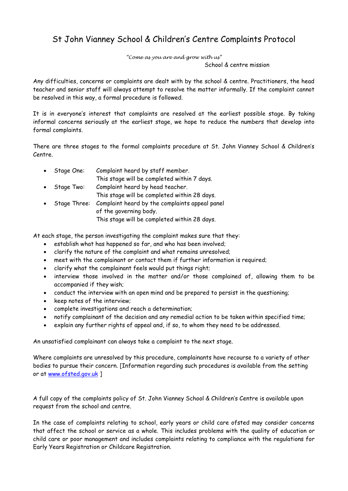## St John Vianney School & Children's Centre Complaints Protocol

*"Come as you are and grow with us"*

School & centre mission

Any difficulties, concerns or complaints are dealt with by the school & centre. Practitioners, the head teacher and senior staff will always attempt to resolve the matter informally. If the complaint cannot be resolved in this way, a formal procedure is followed.

It is in everyone's interest that complaints are resolved at the earliest possible stage. By taking informal concerns seriously at the earliest stage, we hope to reduce the numbers that develop into formal complaints.

There are three stages to the formal complaints procedure at St. John Vianney School & Children's Centre.

| $\bullet$ | Stage One:   | Complaint heard by staff member.               |
|-----------|--------------|------------------------------------------------|
|           |              | This stage will be completed within 7 days.    |
| $\bullet$ | Stage Two:   | Complaint heard by head teacher.               |
|           |              | This stage will be completed within 28 days.   |
|           | Stage Three: | Complaint heard by the complaints appeal panel |
|           |              | of the governing body.                         |
|           |              | This stage will be completed within 28 days.   |

At each stage, the person investigating the complaint makes sure that they:

- establish what has happened so far, and who has been involved;
- clarify the nature of the complaint and what remains unresolved;
- meet with the complainant or contact them if further information is required;
- clarify what the complainant feels would put things right;
- interview those involved in the matter and/or those complained of, allowing them to be accompanied if they wish;
- conduct the interview with an open mind and be prepared to persist in the questioning;
- keep notes of the interview;
- complete investigations and reach a determination;
- notify complainant of the decision and any remedial action to be taken within specified time;
- explain any further rights of appeal and, if so, to whom they need to be addressed.

An unsatisfied complainant can always take a complaint to the next stage.

Where complaints are unresolved by this procedure, complainants have recourse to a variety of other bodies to pursue their concern. [Information regarding such procedures is available from the setting or at [www.ofsted.gov.uk](http://www.ofsted.gov.uk/) ]

A full copy of the complaints policy of St. John Vianney School & Children's Centre is available upon request from the school and centre.

In the case of complaints relating to school, early years or child care ofsted may consider concerns that affect the school or service as a whole. This includes problems with the quality of education or child care or poor management and includes complaints relating to compliance with the regulations for Early Years Registration or Childcare Registration.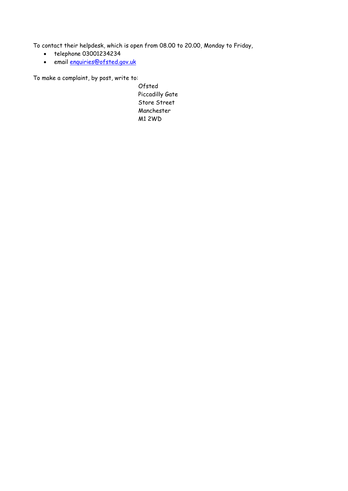To contact their helpdesk, which is open from 08.00 to 20.00, Monday to Friday,

- telephone 03001234234
- email [enquiries@ofsted.gov.uk](mailto:enquiries@ofsted.gov.uk)

To make a complaint, by post, write to:

Ofsted Piccadilly Gate Store Street Manchester M1 2WD